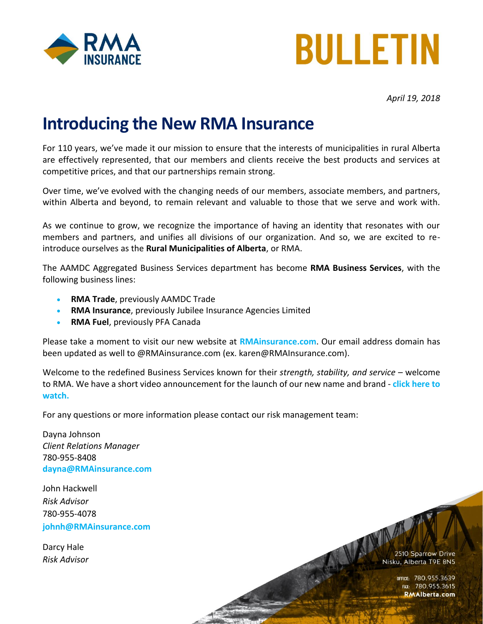



*April 19, 2018*

## **Introducing the New RMA Insurance**

For 110 years, we've made it our mission to ensure that the interests of municipalities in rural Alberta are effectively represented, that our members and clients receive the best products and services at competitive prices, and that our partnerships remain strong.

Over time, we've evolved with the changing needs of our members, associate members, and partners, within Alberta and beyond, to remain relevant and valuable to those that we serve and work with.

As we continue to grow, we recognize the importance of having an identity that resonates with our members and partners, and unifies all divisions of our organization. And so, we are excited to reintroduce ourselves as the **Rural Municipalities of Alberta**, or RMA.

The AAMDC Aggregated Business Services department has become **RMA Business Services**, with the following business lines:

- **RMA Trade**, previously AAMDC Trade
- **RMA Insurance**, previously Jubilee Insurance Agencies Limited
- **RMA Fuel**, previously PFA Canada

Please take a moment to visit our new website at **[RMAinsurance.com](http://rmainsurance.com/)**. Our email address domain has been updated as well to @RMAinsurance.com (ex. karen@RMAInsurance.com).

Welcome to the redefined Business Services known for their *strength, stability, and service* – welcome to RMA. We have a short video announcement for the launch of our new name and brand - **[click here](https://vimeo.com/260814186) to watch.**

For any questions or more information please contact our risk management team:

Dayna Johnson *Client Relations Manager* 780-955-8408 **[dayna@RMAinsurance.com](mailto:email@RMAlberta.com)**

John Hackwell *Risk Advisor* 780-955-4078 **[johnh@RMAinsurance.com](mailto:johnh@RMAinsurance.com)**

Darcy Hale *Risk Advisor* NAME AND 2510 Sparrow Drive Nisku, Alberta T9E 8N5

> office: 780.955.3639<br>Fax: 780.955.3615 **RMAlberta.com**